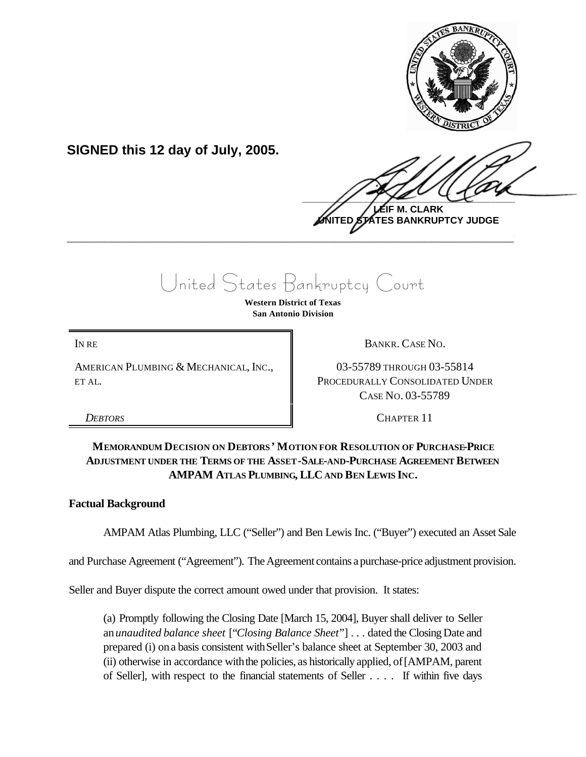

**SIGNED this 12 day of July, 2005.**

 $\frac{1}{2}$ 

**LEIF M. CLARK UNITED STATES BANKRUPTCY JUDGE \_\_\_\_\_\_\_\_\_\_\_\_\_\_\_\_\_\_\_\_\_\_\_\_\_\_\_\_\_\_\_\_\_\_\_\_\_\_\_\_\_\_\_\_\_\_\_\_\_\_\_\_\_\_\_\_\_\_\_\_**

United States Bankruptcy Court

**Western District of Texas San Antonio Division**

AMERICAN PLUMBING & MECHANICAL, INC., ET AL.

IN RE BANKR. CASE NO.

03-55789 THROUGH 03-55814 PROCEDURALLY CONSOLIDATED UNDER CASE NO. 03-55789

*DEBTORS* CHAPTER 11

# **MEMORANDUM DECISION ON DEBTORS ' MOTION FOR RESOLUTION OF PURCHASE-PRICE ADJUSTMENT UNDER THE TERMS OF THE ASSET-SALE-AND-PURCHASE AGREEMENT BETWEEN AMPAM ATLAS PLUMBING, LLC AND BEN LEWIS INC.**

# **Factual Background**

AMPAM Atlas Plumbing, LLC ("Seller") and Ben Lewis Inc. ("Buyer") executed an Asset Sale

and Purchase Agreement ("Agreement"). The Agreement contains a purchase-price adjustment provision.

Seller and Buyer dispute the correct amount owed under that provision. It states:

(a) Promptly following the Closing Date [March 15, 2004], Buyer shall deliver to Seller an*unaudited balance sheet* ["*Closing Balance Sheet*"] . . . dated the Closing Date and prepared (i) ona basis consistent withSeller's balance sheet at September 30, 2003 and (ii) otherwise in accordance withthe policies, as historically applied, of[AMPAM, parent of Seller], with respect to the financial statements of Seller . . . . If within five days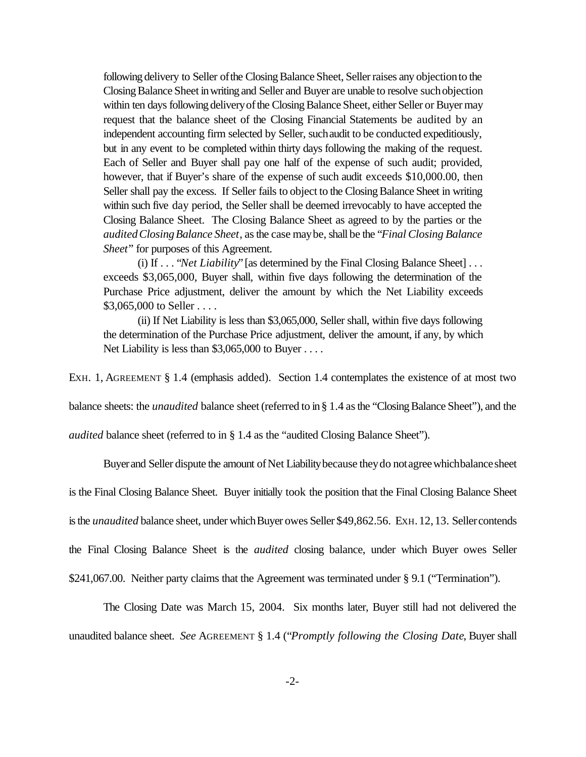following delivery to Seller of the Closing Balance Sheet, Seller raises any objection to the Closing Balance Sheet in writing and Seller and Buyer are unable to resolve such objection within ten days following delivery of the Closing Balance Sheet, either Seller or Buyer may request that the balance sheet of the Closing Financial Statements be audited by an independent accounting firm selected by Seller, suchaudit to be conducted expeditiously, but in any event to be completed within thirty days following the making of the request. Each of Seller and Buyer shall pay one half of the expense of such audit; provided, however, that if Buyer's share of the expense of such audit exceeds \$10,000.00, then Seller shall pay the excess. If Seller fails to object to the Closing Balance Sheet in writing within such five day period, the Seller shall be deemed irrevocably to have accepted the Closing Balance Sheet. The Closing Balance Sheet as agreed to by the parties or the *auditedClosingBalance Sheet*, asthe case maybe,shall be the "*Final Closing Balance Sheet*" for purposes of this Agreement.

(i) If . . . "*Net Liability*" [as determined by the Final Closing Balance Sheet] . . . exceeds \$3,065,000, Buyer shall, within five days following the determination of the Purchase Price adjustment, deliver the amount by which the Net Liability exceeds \$3,065,000 to Seller . . . .

(ii) If Net Liability is less than \$3,065,000, Seller shall, within five days following the determination of the Purchase Price adjustment, deliver the amount, if any, by which Net Liability is less than  $$3,065,000$  to Buyer ....

EXH. 1, AGREEMENT § 1.4 (emphasis added). Section 1.4 contemplates the existence of at most two

balance sheets: the *unaudited* balance sheet (referred to in § 1.4 as the "Closing Balance Sheet"), and the

*audited* balance sheet (referred to in § 1.4 as the "audited Closing Balance Sheet").

Buyer and Seller dispute the amount of Net Liability because they do not agree whichbalance sheet

is the Final Closing Balance Sheet. Buyer initially took the position that the Final Closing Balance Sheet

is the *unaudited* balance sheet, under which Buyer owes Seller \$49,862.56. EXH. 12, 13. Seller contends

the Final Closing Balance Sheet is the *audited* closing balance, under which Buyer owes Seller

\$241,067.00. Neither party claims that the Agreement was terminated under § 9.1 ("Termination").

The Closing Date was March 15, 2004. Six months later, Buyer still had not delivered the unaudited balance sheet. *See* AGREEMENT § 1.4 ("*Promptly following the Closing Date*, Buyer shall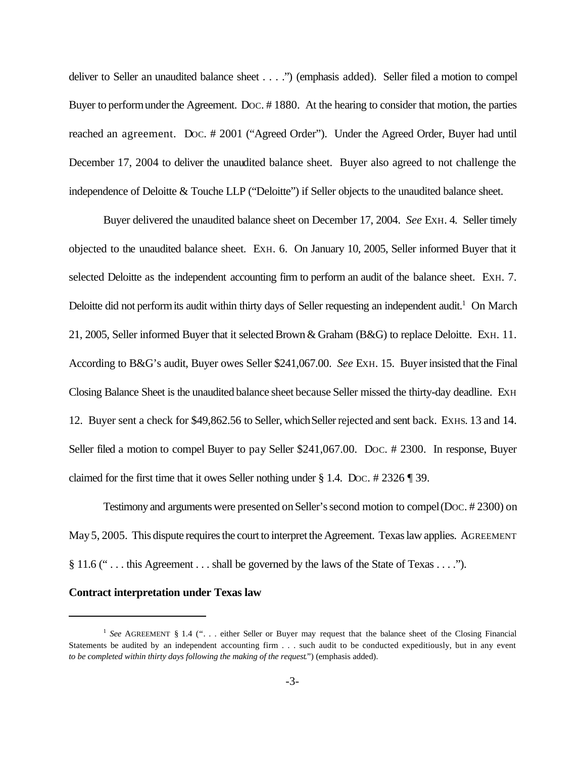deliver to Seller an unaudited balance sheet . . . .") (emphasis added). Seller filed a motion to compel Buyer to perform under the Agreement. Doc. #1880. At the hearing to consider that motion, the parties reached an agreement. Doc. # 2001 ("Agreed Order"). Under the Agreed Order, Buyer had until December 17, 2004 to deliver the unaudited balance sheet. Buyer also agreed to not challenge the independence of Deloitte & Touche LLP ("Deloitte") if Seller objects to the unaudited balance sheet.

Buyer delivered the unaudited balance sheet on December 17, 2004. *See* EXH. 4. Seller timely objected to the unaudited balance sheet. EXH. 6. On January 10, 2005, Seller informed Buyer that it selected Deloitte as the independent accounting firm to perform an audit of the balance sheet. EXH. 7. Deloitte did not perform its audit within thirty days of Seller requesting an independent audit.<sup>1</sup> On March 21, 2005, Seller informed Buyer that it selected Brown & Graham (B&G) to replace Deloitte. EXH. 11. According to B&G's audit, Buyer owes Seller \$241,067.00. *See* EXH. 15. Buyerinsisted that the Final Closing Balance Sheet is the unaudited balance sheet because Seller missed the thirty-day deadline. EXH 12. Buyer sent a check for \$49,862.56 to Seller, whichSellerrejected and sent back. EXHS. 13 and 14. Seller filed a motion to compel Buyer to pay Seller \$241,067.00. Doc. # 2300. In response, Buyer claimed for the first time that it owes Seller nothing under § 1.4. DOC. # 2326 ¶ 39.

Testimony and arguments were presented onSeller'ssecond motion to compel(DOC. # 2300) on May 5, 2005. This dispute requires the court to interpret the Agreement. Texas law applies. AGREEMENT § 11.6 (" . . . this Agreement . . . shall be governed by the laws of the State of Texas . . . .").

#### **Contract interpretation under Texas law**

<sup>&</sup>lt;sup>1</sup> See AGREEMENT § 1.4 ("... either Seller or Buyer may request that the balance sheet of the Closing Financial Statements be audited by an independent accounting firm . . . such audit to be conducted expeditiously, but in any event *to be completed within thirty days following the making of the request*.") (emphasis added).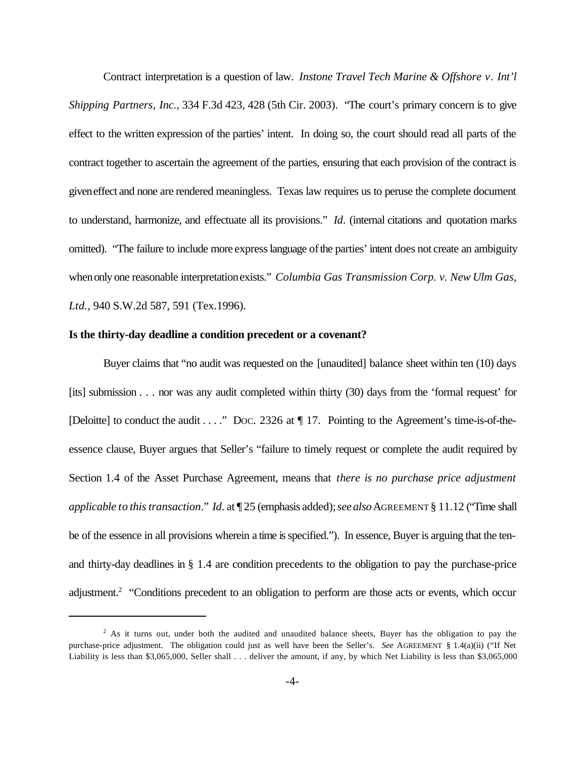Contract interpretation is a question of law. *Instone Travel Tech Marine & Offshore v. Int'l Shipping Partners, Inc.*, 334 F.3d 423, 428 (5th Cir. 2003). "The court's primary concern is to give effect to the written expression of the parties' intent. In doing so, the court should read all parts of the contract together to ascertain the agreement of the parties, ensuring that each provision of the contract is giveneffect and none are rendered meaningless. Texas law requires us to peruse the complete document to understand, harmonize, and effectuate all its provisions." *Id*. (internal citations and quotation marks omitted). "The failure to include more express language of the parties' intent does not create an ambiguity whenonly one reasonable interpretationexists." *Columbia Gas Transmission Corp. v. New Ulm Gas, Ltd.*, 940 S.W.2d 587, 591 (Tex.1996).

#### **Is the thirty-day deadline a condition precedent or a covenant?**

Buyer claims that "no audit was requested on the [unaudited] balance sheet within ten (10) days [its] submission . . . nor was any audit completed within thirty (30) days from the 'formal request' for [Deloitte] to conduct the audit . . . ." Doc. 2326 at  $\P$  17. Pointing to the Agreement's time-is-of-theessence clause, Buyer argues that Seller's "failure to timely request or complete the audit required by Section 1.4 of the Asset Purchase Agreement, means that *there is no purchase price adjustment applicable to thistransaction*." *Id*. at ¶ 25 (emphasis added);*seealso*AGREEMENT § 11.12 ("Time shall be of the essence in all provisions wherein a time is specified."). In essence, Buyer is arguing that the tenand thirty-day deadlines in § 1.4 are condition precedents to the obligation to pay the purchase-price adjustment.<sup>2</sup> "Conditions precedent to an obligation to perform are those acts or events, which occur

 $<sup>2</sup>$  As it turns out, under both the audited and unaudited balance sheets, Buyer has the obligation to pay the</sup> purchase-price adjustment. The obligation could just as well have been the Seller's. *See* AGREEMENT § 1.4(a)(ii) ("If Net Liability is less than \$3,065,000, Seller shall . . . deliver the amount, if any, by which Net Liability is less than \$3,065,000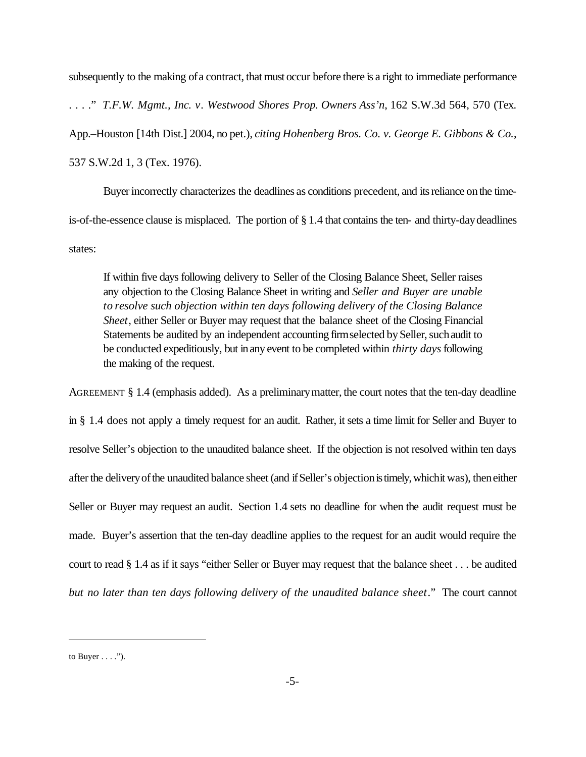subsequently to the making of a contract, that must occur before there is a right to immediate performance . . . ." *T.F.W. Mgmt., Inc. v. Westwood Shores Prop. Owners Ass'n*, 162 S.W.3d 564, 570 (Tex. App.–Houston [14th Dist.] 2004, no pet.), *citing Hohenberg Bros. Co. v. George E. Gibbons & Co.*, 537 S.W.2d 1, 3 (Tex. 1976).

Buyer incorrectly characterizes the deadlines as conditions precedent, and its reliance on the timeis-of-the-essence clause is misplaced. The portion of § 1.4 that contains the ten- and thirty-daydeadlines states:

If within five days following delivery to Seller of the Closing Balance Sheet, Seller raises any objection to the Closing Balance Sheet in writing and *Seller and Buyer are unable to resolve such objection within ten days following delivery of the Closing Balance Sheet*, either Seller or Buyer may request that the balance sheet of the Closing Financial Statements be audited by an independent accounting firm selected by Seller, such audit to be conducted expeditiously, but inany event to be completed within *thirty days*following the making of the request.

AGREEMENT § 1.4 (emphasis added). As a preliminarymatter, the court notes that the ten-day deadline in § 1.4 does not apply a timely request for an audit. Rather, it sets a time limit for Seller and Buyer to resolve Seller's objection to the unaudited balance sheet. If the objection is not resolved within ten days after the delivery of the unaudited balance sheet (and if Seller's objection is timely, which it was), then either Seller or Buyer may request an audit. Section 1.4 sets no deadline for when the audit request must be made. Buyer's assertion that the ten-day deadline applies to the request for an audit would require the court to read § 1.4 as if it says "either Seller or Buyer may request that the balance sheet . . . be audited *but no later than ten days following delivery of the unaudited balance sheet*." The court cannot

to Buyer  $\dots$ .").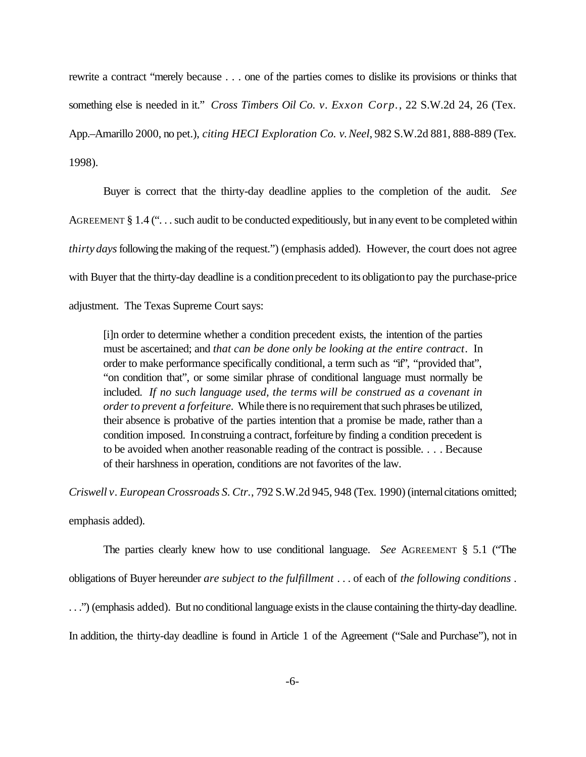rewrite a contract "merely because . . . one of the parties comes to dislike its provisions or thinks that something else is needed in it." *Cross Timbers Oil Co. v. Exxon Corp.*, 22 S.W.2d 24, 26 (Tex. App.–Amarillo 2000, no pet.), *citing HECI Exploration Co. v.Neel*, 982 S.W.2d 881, 888-889 (Tex. 1998).

Buyer is correct that the thirty-day deadline applies to the completion of the audit. *See* AGREEMENT § 1.4 ("... such audit to be conducted expeditiously, but in any event to be completed within *thirty days* following the making of the request.") (emphasis added). However, the court does not agree with Buyer that the thirty-day deadline is a condition precedent to its obligation to pay the purchase-price adjustment. The Texas Supreme Court says:

[i]n order to determine whether a condition precedent exists, the intention of the parties must be ascertained; and *that can be done only be looking at the entire contract*. In order to make performance specifically conditional, a term such as "if", "provided that", "on condition that", or some similar phrase of conditional language must normally be included. *If no such language used, the terms will be construed as a covenant in orderto prevent a forfeiture.* While there is no requirement that such phrases be utilized, their absence is probative of the parties intention that a promise be made, rather than a condition imposed. Inconstruing a contract, forfeiture by finding a condition precedent is to be avoided when another reasonable reading of the contract is possible. . . . Because of their harshness in operation, conditions are not favorites of the law.

*Criswell v. European Crossroads S. Ctr.*, 792 S.W.2d 945, 948 (Tex. 1990) (internalcitations omitted; emphasis added).

The parties clearly knew how to use conditional language. *See* AGREEMENT § 5.1 ("The obligations of Buyer hereunder *are subject to the fulfillment* . . . of each of *the following conditions* . . . .") (emphasis added). But no conditional language exists in the clause containing the thirty-day deadline. In addition, the thirty-day deadline is found in Article 1 of the Agreement ("Sale and Purchase"), not in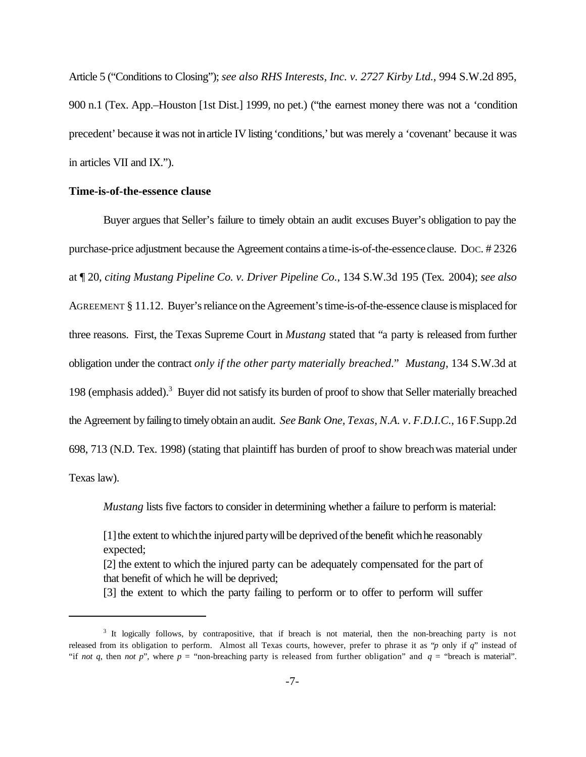Article 5 ("Conditions to Closing"); *see also RHS Interests, Inc. v. 2727 Kirby Ltd.*, 994 S.W.2d 895, 900 n.1 (Tex. App.–Houston [1st Dist.] 1999, no pet.) ("the earnest money there was not a 'condition precedent' because it was not inarticle IV listing'conditions,' but was merely a 'covenant' because it was in articles VII and IX.").

#### **Time-is-of-the-essence clause**

Buyer argues that Seller's failure to timely obtain an audit excuses Buyer's obligation to pay the purchase-price adjustment because the Agreement contains a time-is-of-the-essenceclause. DOC. # 2326 at ¶ 20, *citing Mustang Pipeline Co. v. Driver Pipeline Co.*, 134 S.W.3d 195 (Tex. 2004); *see also* AGREEMENT § 11.12. Buyer's reliance on the Agreement's time-is-of-the-essence clause is misplaced for three reasons. First, the Texas Supreme Court in *Mustang* stated that "a party is released from further obligation under the contract *only if the other party materially breached*." *Mustang*, 134 S.W.3d at 198 (emphasis added).<sup>3</sup> Buyer did not satisfy its burden of proof to show that Seller materially breached the Agreement byfailingto timely obtain anaudit. *See Bank One, Texas, N.A. v. F.D.I.C.*, 16 F.Supp.2d 698, 713 (N.D. Tex. 1998) (stating that plaintiff has burden of proof to show breachwas material under Texas law).

*Mustang* lists five factors to consider in determining whether a failure to perform is material:

[1] the extent to which the injured party will be deprived of the benefit which he reasonably expected;

[2] the extent to which the injured party can be adequately compensated for the part of that benefit of which he will be deprived;

[3] the extent to which the party failing to perform or to offer to perform will suffer

<sup>&</sup>lt;sup>3</sup> It logically follows, by contrapositive, that if breach is not material, then the non-breaching party is not released from its obligation to perform. Almost all Texas courts, however, prefer to phrase it as "*p* only if *q*" instead of "if *not q*, then *not p*", where *p* = "non-breaching party is released from further obligation" and  $q =$  "breach is material".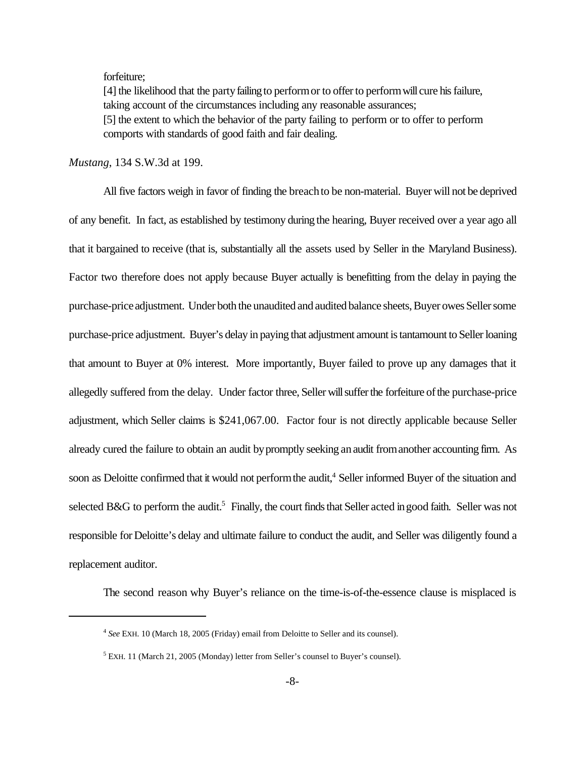#### forfeiture;

[4] the likelihood that the party failing to perform or to offer to perform will cure his failure, taking account of the circumstances including any reasonable assurances; [5] the extent to which the behavior of the party failing to perform or to offer to perform comports with standards of good faith and fair dealing.

## *Mustang*, 134 S.W.3d at 199.

All five factors weigh in favor of finding the breachto be non-material. Buyer will not be deprived of any benefit. In fact, as established by testimony during the hearing, Buyer received over a year ago all that it bargained to receive (that is, substantially all the assets used by Seller in the Maryland Business). Factor two therefore does not apply because Buyer actually is benefitting from the delay in paying the purchase-priceadjustment. Under both the unaudited and audited balance sheets, Buyer owes Seller some purchase-price adjustment. Buyer's delay in paying that adjustment amount is tantamount to Seller loaning that amount to Buyer at 0% interest. More importantly, Buyer failed to prove up any damages that it allegedly suffered from the delay. Under factor three, Seller will suffer the forfeiture of the purchase-price adjustment, which Seller claims is \$241,067.00. Factor four is not directly applicable because Seller already cured the failure to obtain an audit bypromptly seeking anaudit fromanother accounting firm. As soon as Deloitte confirmed that it would not perform the audit,<sup>4</sup> Seller informed Buyer of the situation and selected B&G to perform the audit.<sup>5</sup> Finally, the court finds that Seller acted in good faith. Seller was not responsible for Deloitte's delay and ultimate failure to conduct the audit, and Seller was diligently found a replacement auditor.

The second reason why Buyer's reliance on the time-is-of-the-essence clause is misplaced is

<sup>4</sup> *See* EXH. 10 (March 18, 2005 (Friday) email from Deloitte to Seller and its counsel).

<sup>&</sup>lt;sup>5</sup> EXH. 11 (March 21, 2005 (Monday) letter from Seller's counsel to Buyer's counsel).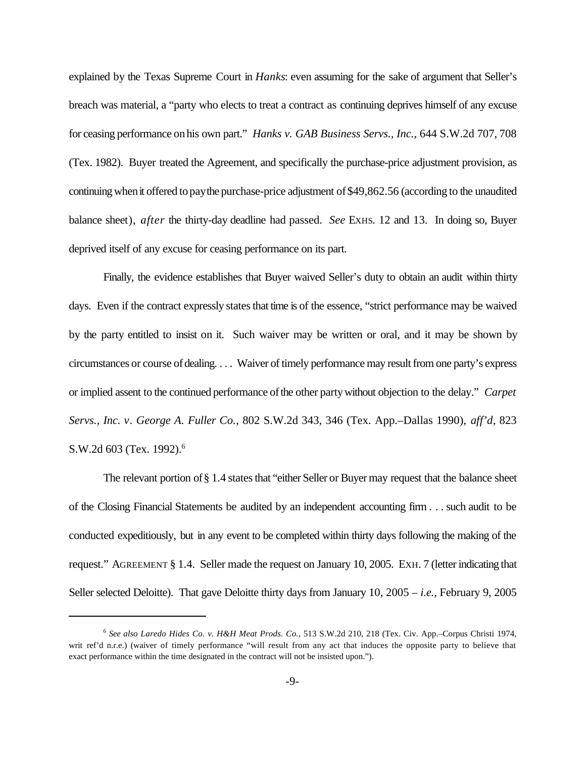explained by the Texas Supreme Court in *Hanks*: even assuming for the sake of argument that Seller's breach was material, a "party who elects to treat a contract as continuing deprives himself of any excuse for ceasing performance onhis own part." *Hanks v. GAB Business Servs., Inc.*, 644 S.W.2d 707, 708 (Tex. 1982). Buyer treated the Agreement, and specifically the purchase-price adjustment provision, as continuingwhenit offered topaythe purchase-price adjustment of\$49,862.56 (according to the unaudited balance sheet), *after* the thirty-day deadline had passed. *See* EXHS. 12 and 13. In doing so, Buyer deprived itself of any excuse for ceasing performance on its part.

Finally, the evidence establishes that Buyer waived Seller's duty to obtain an audit within thirty days. Even if the contract expressly states that time is of the essence, "strict performance may be waived by the party entitled to insist on it. Such waiver may be written or oral, and it may be shown by circumstances or course of dealing. . . . Waiver of timely performance may result from one party's express or implied assent to the continued performance of the other party without objection to the delay." *Carpet Servs., Inc. v. George A. Fuller Co.*, 802 S.W.2d 343, 346 (Tex. App.–Dallas 1990), *aff'd*, 823 S.W.2d 603 (Tex. 1992).<sup>6</sup>

The relevant portion of  $\S 1.4$  states that "either Seller or Buyer may request that the balance sheet of the Closing Financial Statements be audited by an independent accounting firm . . . such audit to be conducted expeditiously, but in any event to be completed within thirty days following the making of the request." AGREEMENT § 1.4. Seller made the request on January 10, 2005. EXH. 7 (letterindicating that Seller selected Deloitte). That gave Deloitte thirty days from January 10, 2005 – *i.e.*, February 9, 2005

<sup>6</sup> *See also Laredo Hides Co. v. H&H Meat Prods. Co.*, 513 S.W.2d 210, 218 (Tex. Civ. App.–Corpus Christi 1974, writ ref'd n.r.e.) (waiver of timely performance "will result from any act that induces the opposite party to believe that exact performance within the time designated in the contract will not be insisted upon.").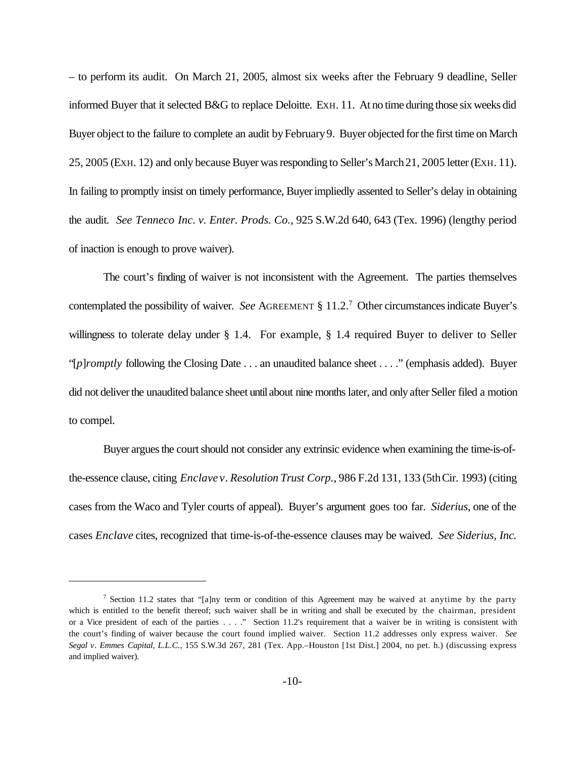– to perform its audit. On March 21, 2005, almost six weeks after the February 9 deadline, Seller informed Buyer that it selected B&G to replace Deloitte. EXH. 11. At no time during those six weeks did Buyer object to the failure to complete an audit by February 9. Buyer objected for the first time on March 25, 2005 (EXH. 12) and only because Buyer was responding to Seller's March 21, 2005 letter (EXH. 11). In failing to promptly insist on timely performance, Buyerimpliedly assented to Seller's delay in obtaining the audit. *See Tenneco Inc. v. Enter. Prods. Co.*, 925 S.W.2d 640, 643 (Tex. 1996) (lengthy period of inaction is enough to prove waiver).

The court's finding of waiver is not inconsistent with the Agreement. The parties themselves contemplated the possibility of waiver. *See* AGREEMENT § 11.2.<sup>7</sup> Other circumstancesindicate Buyer's willingness to tolerate delay under § 1.4. For example, § 1.4 required Buyer to deliver to Seller "[*p*]*romptly* following the Closing Date . . . an unaudited balance sheet . . . ." (emphasis added). Buyer did not deliver the unaudited balance sheet until about nine months later, and only after Seller filed a motion to compel.

Buyer argues the court should not consider any extrinsic evidence when examining the time-is-ofthe-essence clause, citing *Enclave v. Resolution Trust Corp.*, 986 F.2d 131, 133 (5thCir. 1993) (citing cases from the Waco and Tyler courts of appeal). Buyer's argument goes too far. *Siderius*, one of the cases *Enclave* cites, recognized that time-is-of-the-essence clauses may be waived. *See Siderius, Inc.*

<sup>&</sup>lt;sup>7</sup> Section 11.2 states that "[a]ny term or condition of this Agreement may be waived at anytime by the party which is entitled to the benefit thereof; such waiver shall be in writing and shall be executed by the chairman, president or a Vice president of each of the parties . . . ." Section 11.2's requirement that a waiver be in writing is consistent with the court's finding of waiver because the court found implied waiver. Section 11.2 addresses only express waiver. *See Segal v. Emmes Capital, L.L.C.*, 155 S.W.3d 267, 281 (Tex. App.–Houston [1st Dist.] 2004, no pet. h.) (discussing express and implied waiver).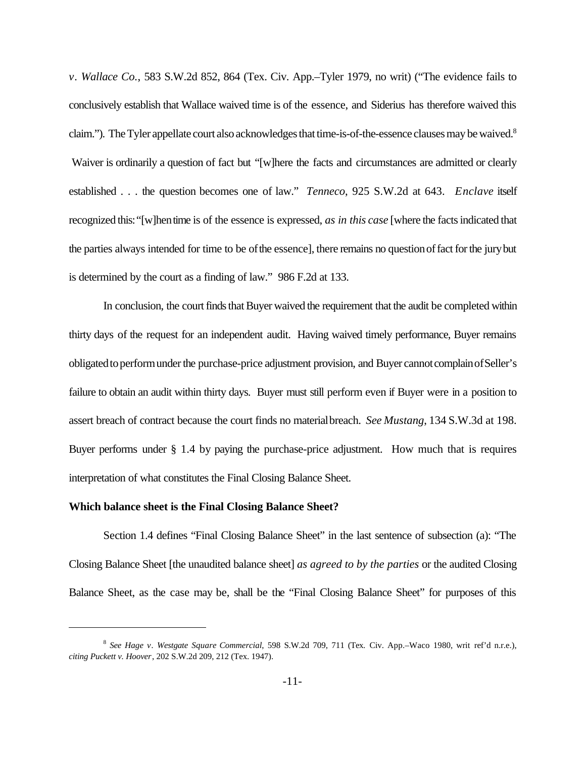*v. Wallace Co.*, 583 S.W.2d 852, 864 (Tex. Civ. App.–Tyler 1979, no writ) ("The evidence fails to conclusively establish that Wallace waived time is of the essence, and Siderius has therefore waived this claim."). The Tyler appellate court also acknowledges that time-is-of-the-essence clauses may be waived.<sup>8</sup> Waiver is ordinarily a question of fact but "[w]here the facts and circumstances are admitted or clearly established . . . the question becomes one of law." *Tenneco*, 925 S.W.2d at 643. *Enclave* itself recognized this:"[w]hentime is of the essence is expressed, *as in this case* [where the factsindicated that the parties always intended for time to be of the essence], there remains no question of fact for the jury but is determined by the court as a finding of law." 986 F.2d at 133.

In conclusion, the court finds that Buyer waived the requirement that the audit be completed within thirty days of the request for an independent audit. Having waived timely performance, Buyer remains obligatedtoperformunderthe purchase-price adjustment provision, and Buyer cannotcomplainofSeller's failure to obtain an audit within thirty days. Buyer must still perform even if Buyer were in a position to assert breach of contract because the court finds no materialbreach. *See Mustang*, 134 S.W.3d at 198. Buyer performs under § 1.4 by paying the purchase-price adjustment. How much that is requires interpretation of what constitutes the Final Closing Balance Sheet.

#### **Which balance sheet is the Final Closing Balance Sheet?**

Section 1.4 defines "Final Closing Balance Sheet" in the last sentence of subsection (a): "The Closing Balance Sheet [the unaudited balance sheet] *as agreed to by the parties* or the audited Closing Balance Sheet, as the case may be, shall be the "Final Closing Balance Sheet" for purposes of this

<sup>8</sup> *See Hage v. Westgate Square Commercial*, 598 S.W.2d 709, 711 (Tex. Civ. App.–Waco 1980, writ ref'd n.r.e.), *citing Puckett v. Hoover*, 202 S.W.2d 209, 212 (Tex. 1947).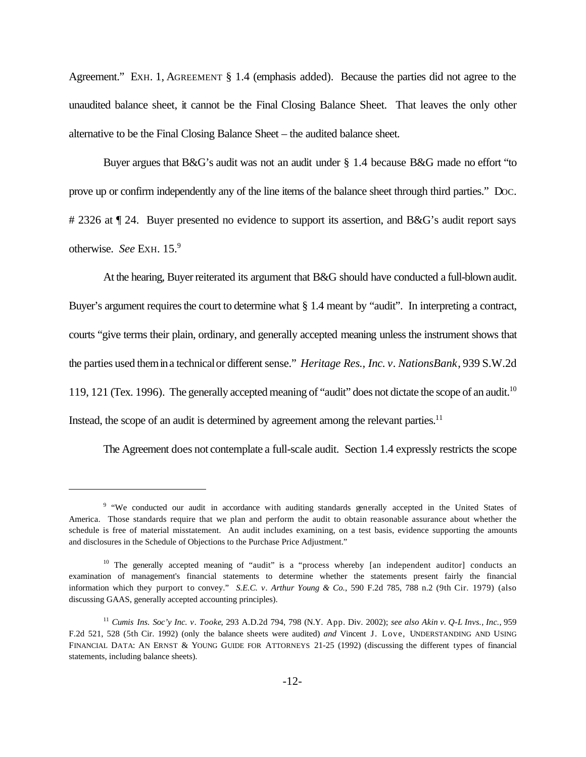Agreement." EXH. 1, AGREEMENT § 1.4 (emphasis added). Because the parties did not agree to the unaudited balance sheet, it cannot be the Final Closing Balance Sheet. That leaves the only other alternative to be the Final Closing Balance Sheet – the audited balance sheet.

Buyer argues that B&G's audit was not an audit under § 1.4 because B&G made no effort "to prove up or confirm independently any of the line items of the balance sheet through third parties." DOC. # 2326 at  $\P$  24. Buyer presented no evidence to support its assertion, and B&G's audit report says otherwise. *See* EXH. 15.<sup>9</sup>

At the hearing, Buyer reiterated its argument that B&G should have conducted a full-blown audit. Buyer's argument requires the court to determine what  $\S 1.4$  meant by "audit". In interpreting a contract, courts "give terms their plain, ordinary, and generally accepted meaning unless the instrument shows that the parties used themina technicalor different sense." *Heritage Res., Inc. v. NationsBank*, 939 S.W.2d 119, 121 (Tex. 1996). The generally accepted meaning of "audit" does not dictate the scope of an audit.<sup>10</sup> Instead, the scope of an audit is determined by agreement among the relevant parties. $11$ 

The Agreement does not contemplate a full-scale audit. Section 1.4 expressly restricts the scope

<sup>&</sup>lt;sup>9</sup> "We conducted our audit in accordance with auditing standards generally accepted in the United States of America. Those standards require that we plan and perform the audit to obtain reasonable assurance about whether the schedule is free of material misstatement. An audit includes examining, on a test basis, evidence supporting the amounts and disclosures in the Schedule of Objections to the Purchase Price Adjustment."

<sup>&</sup>lt;sup>10</sup> The generally accepted meaning of "audit" is a "process whereby [an independent auditor] conducts an examination of management's financial statements to determine whether the statements present fairly the financial information which they purport to convey." *S.E.C. v. Arthur Young & Co.*, 590 F.2d 785, 788 n.2 (9th Cir. 1979) (also discussing GAAS, generally accepted accounting principles).

<sup>11</sup> *Cumis Ins. Soc'y Inc. v. Tooke*, 293 A.D.2d 794, 798 (N.Y. App. Div. 2002); *see also Akin v. Q-L Invs., Inc.*, 959 F.2d 521, 528 (5th Cir. 1992) (only the balance sheets were audited) *and* Vincent J. Love, UNDERSTANDING AND USING FINANCIAL DATA: AN ERNST & YOUNG GUIDE FOR ATTORNEYS 21-25 (1992) (discussing the different types of financial statements, including balance sheets).